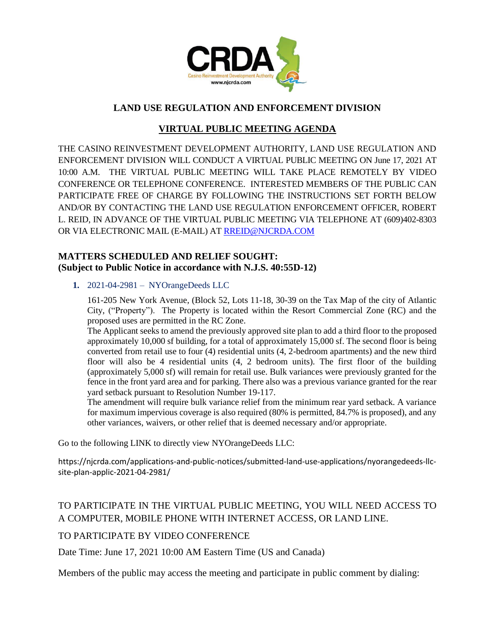

## **LAND USE REGULATION AND ENFORCEMENT DIVISION**

# **VIRTUAL PUBLIC MEETING AGENDA**

THE CASINO REINVESTMENT DEVELOPMENT AUTHORITY, LAND USE REGULATION AND ENFORCEMENT DIVISION WILL CONDUCT A VIRTUAL PUBLIC MEETING ON June 17, 2021 AT 10:00 A.M. THE VIRTUAL PUBLIC MEETING WILL TAKE PLACE REMOTELY BY VIDEO CONFERENCE OR TELEPHONE CONFERENCE. INTERESTED MEMBERS OF THE PUBLIC CAN PARTICIPATE FREE OF CHARGE BY FOLLOWING THE INSTRUCTIONS SET FORTH BELOW AND/OR BY CONTACTING THE LAND USE REGULATION ENFORCEMENT OFFICER, ROBERT L. REID, IN ADVANCE OF THE VIRTUAL PUBLIC MEETING VIA TELEPHONE AT (609)402-8303 OR VIA ELECTRONIC MAIL (E-MAIL) AT RREID@NJCRDA.COM

### **MATTERS SCHEDULED AND RELIEF SOUGHT: (Subject to Public Notice in accordance with N.J.S. 40:55D-12)**

#### **1.** 2021-04-2981 – NYOrangeDeeds LLC

161-205 New York Avenue, (Block 52, Lots 11-18, 30-39 on the Tax Map of the city of Atlantic City, ("Property"). The Property is located within the Resort Commercial Zone (RC) and the proposed uses are permitted in the RC Zone.

The Applicant seeks to amend the previously approved site plan to add a third floor to the proposed approximately 10,000 sf building, for a total of approximately 15,000 sf. The second floor is being converted from retail use to four (4) residential units (4, 2-bedroom apartments) and the new third floor will also be 4 residential units (4, 2 bedroom units). The first floor of the building (approximately 5,000 sf) will remain for retail use. Bulk variances were previously granted for the fence in the front yard area and for parking. There also was a previous variance granted for the rear yard setback pursuant to Resolution Number 19-117.

The amendment will require bulk variance relief from the minimum rear yard setback. A variance for maximum impervious coverage is also required (80% is permitted, 84.7% is proposed), and any other variances, waivers, or other relief that is deemed necessary and/or appropriate.

Go to the following LINK to directly view NYOrangeDeeds LLC:

https://njcrda.com/applications-and-public-notices/submitted-land-use-applications/nyorangedeeds-llcsite-plan-applic-2021-04-2981/

# TO PARTICIPATE IN THE VIRTUAL PUBLIC MEETING, YOU WILL NEED ACCESS TO A COMPUTER, MOBILE PHONE WITH INTERNET ACCESS, OR LAND LINE.

### TO PARTICIPATE BY VIDEO CONFERENCE

Date Time: June 17, 2021 10:00 AM Eastern Time (US and Canada)

Members of the public may access the meeting and participate in public comment by dialing: